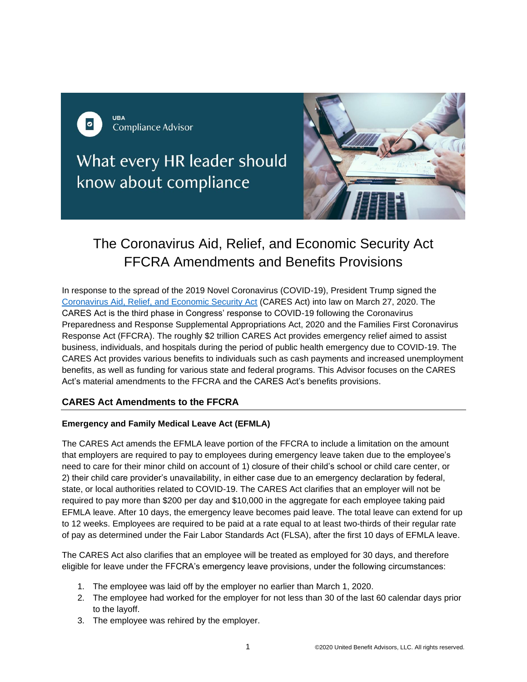

What every HR leader should know about compliance



# The Coronavirus Aid, Relief, and Economic Security Act FFCRA Amendments and Benefits Provisions

In response to the spread of the 2019 Novel Coronavirus (COVID-19), President Trump signed the [Coronavirus Aid, Relief, and Economic Security Act](https://www.congress.gov/116/bills/hr748/BILLS-116hr748eas.pdf) (CARES Act) into law on March 27, 2020. The CARES Act is the third phase in Congress' response to COVID-19 following the Coronavirus Preparedness and Response Supplemental Appropriations Act, 2020 and the Families First Coronavirus Response Act (FFCRA). The roughly \$2 trillion CARES Act provides emergency relief aimed to assist business, individuals, and hospitals during the period of public health emergency due to COVID-19. The CARES Act provides various benefits to individuals such as cash payments and increased unemployment benefits, as well as funding for various state and federal programs. This Advisor focuses on the CARES Act's material amendments to the FFCRA and the CARES Act's benefits provisions.

## **CARES Act Amendments to the FFCRA**

## **Emergency and Family Medical Leave Act (EFMLA)**

The CARES Act amends the EFMLA leave portion of the FFCRA to include a limitation on the amount that employers are required to pay to employees during emergency leave taken due to the employee's need to care for their minor child on account of 1) closure of their child's school or child care center, or 2) their child care provider's unavailability, in either case due to an emergency declaration by federal, state, or local authorities related to COVID-19. The CARES Act clarifies that an employer will not be required to pay more than \$200 per day and \$10,000 in the aggregate for each employee taking paid EFMLA leave. After 10 days, the emergency leave becomes paid leave. The total leave can extend for up to 12 weeks. Employees are required to be paid at a rate equal to at least two-thirds of their regular rate of pay as determined under the Fair Labor Standards Act (FLSA), after the first 10 days of EFMLA leave.

The CARES Act also clarifies that an employee will be treated as employed for 30 days, and therefore eligible for leave under the FFCRA's emergency leave provisions, under the following circumstances:

- 1. The employee was laid off by the employer no earlier than March 1, 2020.
- 2. The employee had worked for the employer for not less than 30 of the last 60 calendar days prior to the layoff.
- 3. The employee was rehired by the employer.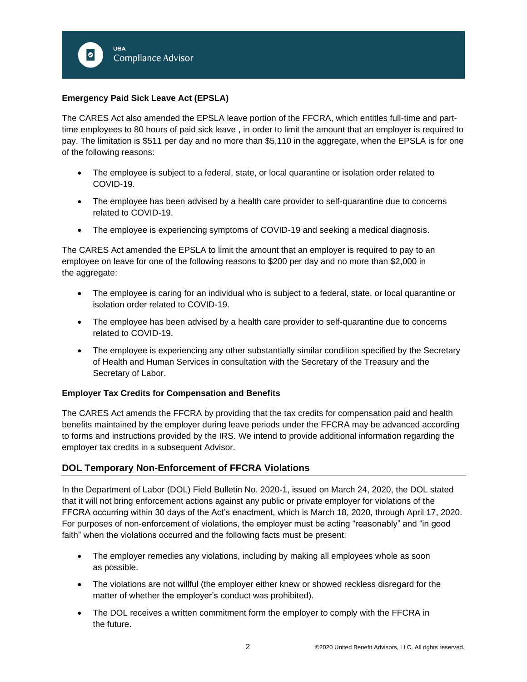

## **Emergency Paid Sick Leave Act (EPSLA)**

The CARES Act also amended the EPSLA leave portion of the FFCRA, which entitles full-time and parttime employees to 80 hours of paid sick leave , in order to limit the amount that an employer is required to pay. The limitation is \$511 per day and no more than \$5,110 in the aggregate, when the EPSLA is for one of the following reasons:

- The employee is subject to a federal, state, or local quarantine or isolation order related to COVID-19.
- The employee has been advised by a health care provider to self-quarantine due to concerns related to COVID-19.
- The employee is experiencing symptoms of COVID-19 and seeking a medical diagnosis.

The CARES Act amended the EPSLA to limit the amount that an employer is required to pay to an employee on leave for one of the following reasons to \$200 per day and no more than \$2,000 in the aggregate:

- The employee is caring for an individual who is subject to a federal, state, or local quarantine or isolation order related to COVID-19.
- The employee has been advised by a health care provider to self-quarantine due to concerns related to COVID-19.
- The employee is experiencing any other substantially similar condition specified by the Secretary of Health and Human Services in consultation with the Secretary of the Treasury and the Secretary of Labor.

#### **Employer Tax Credits for Compensation and Benefits**

The CARES Act amends the FFCRA by providing that the tax credits for compensation paid and health benefits maintained by the employer during leave periods under the FFCRA may be advanced according to forms and instructions provided by the IRS. We intend to provide additional information regarding the employer tax credits in a subsequent Advisor.

## **DOL Temporary Non-Enforcement of FFCRA Violations**

In the Department of Labor (DOL) Field Bulletin No. 2020-1, issued on March 24, 2020, the DOL stated that it will not bring enforcement actions against any public or private employer for violations of the FFCRA occurring within 30 days of the Act's enactment, which is March 18, 2020, through April 17, 2020. For purposes of non-enforcement of violations, the employer must be acting "reasonably" and "in good faith" when the violations occurred and the following facts must be present:

- The employer remedies any violations, including by making all employees whole as soon as possible.
- The violations are not willful (the employer either knew or showed reckless disregard for the matter of whether the employer's conduct was prohibited).
- The DOL receives a written commitment form the employer to comply with the FFCRA in the future.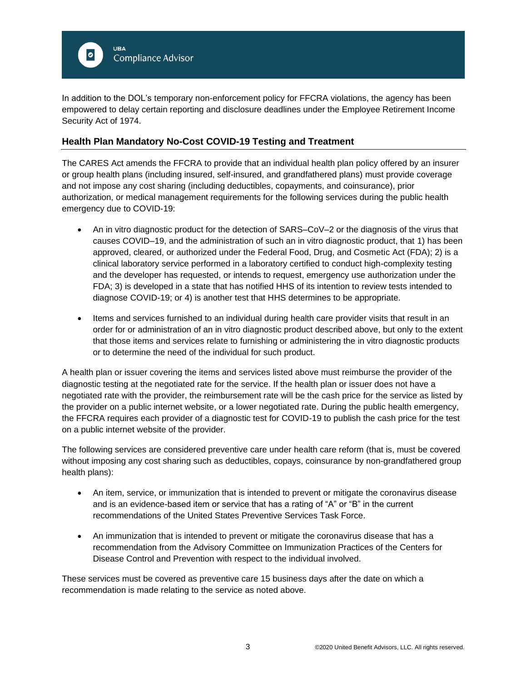

In addition to the DOL's temporary non-enforcement policy for FFCRA violations, the agency has been empowered to delay certain reporting and disclosure deadlines under the Employee Retirement Income Security Act of 1974.

## **Health Plan Mandatory No-Cost COVID-19 Testing and Treatment**

The CARES Act amends the FFCRA to provide that an individual health plan policy offered by an insurer or group health plans (including insured, self-insured, and grandfathered plans) must provide coverage and not impose any cost sharing (including deductibles, copayments, and coinsurance), prior authorization, or medical management requirements for the following services during the public health emergency due to COVID-19:

- An in vitro diagnostic product for the detection of SARS–CoV–2 or the diagnosis of the virus that causes COVID–19, and the administration of such an in vitro diagnostic product, that 1) has been approved, cleared, or authorized under the Federal Food, Drug, and Cosmetic Act (FDA); 2) is a clinical laboratory service performed in a laboratory certified to conduct high-complexity testing and the developer has requested, or intends to request, emergency use authorization under the FDA; 3) is developed in a state that has notified HHS of its intention to review tests intended to diagnose COVID-19; or 4) is another test that HHS determines to be appropriate.
- Items and services furnished to an individual during health care provider visits that result in an order for or administration of an in vitro diagnostic product described above, but only to the extent that those items and services relate to furnishing or administering the in vitro diagnostic products or to determine the need of the individual for such product.

A health plan or issuer covering the items and services listed above must reimburse the provider of the diagnostic testing at the negotiated rate for the service. If the health plan or issuer does not have a negotiated rate with the provider, the reimbursement rate will be the cash price for the service as listed by the provider on a public internet website, or a lower negotiated rate. During the public health emergency, the FFCRA requires each provider of a diagnostic test for COVID-19 to publish the cash price for the test on a public internet website of the provider.

The following services are considered preventive care under health care reform (that is, must be covered without imposing any cost sharing such as deductibles, copays, coinsurance by non-grandfathered group health plans):

- An item, service, or immunization that is intended to prevent or mitigate the coronavirus disease and is an evidence-based item or service that has a rating of "A" or "B" in the current recommendations of the United States Preventive Services Task Force.
- An immunization that is intended to prevent or mitigate the coronavirus disease that has a recommendation from the Advisory Committee on Immunization Practices of the Centers for Disease Control and Prevention with respect to the individual involved.

These services must be covered as preventive care 15 business days after the date on which a recommendation is made relating to the service as noted above.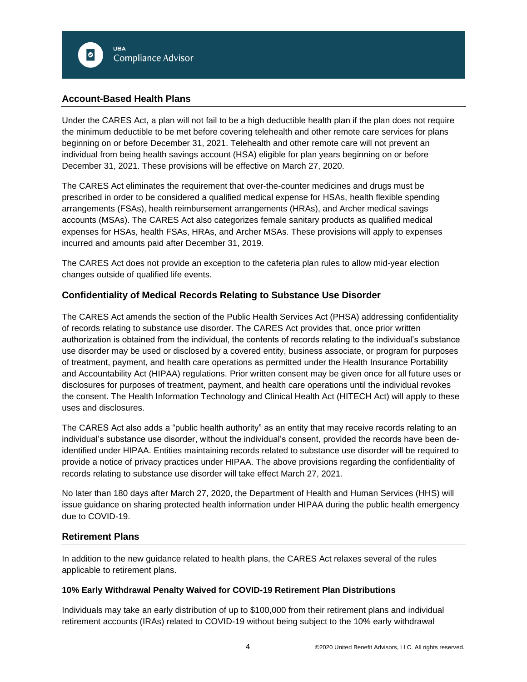## **Account-Based Health Plans**

Under the CARES Act, a plan will not fail to be a high deductible health plan if the plan does not require the minimum deductible to be met before covering telehealth and other remote care services for plans beginning on or before December 31, 2021. Telehealth and other remote care will not prevent an individual from being health savings account (HSA) eligible for plan years beginning on or before December 31, 2021. These provisions will be effective on March 27, 2020.

The CARES Act eliminates the requirement that over-the-counter medicines and drugs must be prescribed in order to be considered a qualified medical expense for HSAs, health flexible spending arrangements (FSAs), health reimbursement arrangements (HRAs), and Archer medical savings accounts (MSAs). The CARES Act also categorizes female sanitary products as qualified medical expenses for HSAs, health FSAs, HRAs, and Archer MSAs. These provisions will apply to expenses incurred and amounts paid after December 31, 2019.

The CARES Act does not provide an exception to the cafeteria plan rules to allow mid-year election changes outside of qualified life events.

# **Confidentiality of Medical Records Relating to Substance Use Disorder**

The CARES Act amends the section of the Public Health Services Act (PHSA) addressing confidentiality of records relating to substance use disorder. The CARES Act provides that, once prior written authorization is obtained from the individual, the contents of records relating to the individual's substance use disorder may be used or disclosed by a covered entity, business associate, or program for purposes of treatment, payment, and health care operations as permitted under the Health Insurance Portability and Accountability Act (HIPAA) regulations. Prior written consent may be given once for all future uses or disclosures for purposes of treatment, payment, and health care operations until the individual revokes the consent. The Health Information Technology and Clinical Health Act (HITECH Act) will apply to these uses and disclosures.

The CARES Act also adds a "public health authority" as an entity that may receive records relating to an individual's substance use disorder, without the individual's consent, provided the records have been deidentified under HIPAA. Entities maintaining records related to substance use disorder will be required to provide a notice of privacy practices under HIPAA. The above provisions regarding the confidentiality of records relating to substance use disorder will take effect March 27, 2021.

No later than 180 days after March 27, 2020, the Department of Health and Human Services (HHS) will issue guidance on sharing protected health information under HIPAA during the public health emergency due to COVID-19.

## **Retirement Plans**

In addition to the new guidance related to health plans, the CARES Act relaxes several of the rules applicable to retirement plans.

## **10% Early Withdrawal Penalty Waived for COVID-19 Retirement Plan Distributions**

Individuals may take an early distribution of up to \$100,000 from their retirement plans and individual retirement accounts (IRAs) related to COVID-19 without being subject to the 10% early withdrawal